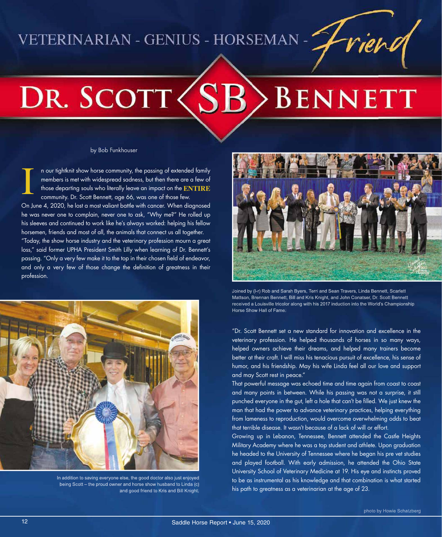### VETERINARIAN - GENIUS - HORSEMAN -

# DR. SCOTT (S) **BENNETT**

#### by Bob Funkhouser

n our tightknit show horse community, the passing of extended family members is met with widespread sadness, but then there are a few of those departing souls who literally leave an impact on the **ENTIRE** community. Dr. Scott Bennett, age 66, was one of those few. On June 4, 2020, he lost a most valiant battle with cancer. When diagnosed he was never one to complain, never one to ask, "Why me?" He rolled up his sleeves and continued to work like he's always worked: helping his fellow horsemen, friends and most of all, the animals that connect us all together. "Today, the show horse industry and the veterinary profession mourn a great loss," said former UPHA President Smith Lilly when learning of Dr. Bennett's passing. "Only a very few make it to the top in their chosen field of endeavor, and only a very few of those change the definition of greatness in their profession. I



In addition to saving everyone else, the good doctor also just enjoyed being Scott – the proud owner and horse show husband to Linda (c) and good friend to Kris and Bill Knight.



Joined by (l-r) Rob and Sarah Byers, Terri and Sean Travers, Linda Bennett, Scarlett Mattson, Brennan Bennett, Bill and Kris Knight, and John Conatser, Dr. Scott Bennett received a Louisville tricolor along with his 2017 induction into the World's Championship Horse Show Hall of Fame.

"Dr. Scott Bennett set a new standard for innovation and excellence in the veterinary profession. He helped thousands of horses in so many ways, helped owners achieve their dreams, and helped many trainers become better at their craft. I will miss his tenacious pursuit of excellence, his sense of humor, and his friendship. May his wife Linda feel all our love and support and may Scott rest in peace."

That powerful message was echoed time and time again from coast to coast and many points in between. While his passing was not a surprise, it still punched everyone in the gut, left a hole that can't be filled. We just knew the man that had the power to advance veterinary practices, helping everything from lameness to reproduction, would overcome overwhelming odds to beat that terrible disease. It wasn't because of a lack of will or effort.

Growing up in Lebanon, Tennessee, Bennett attended the Castle Heights Military Academy where he was a top student and athlete. Upon graduation he headed to the University of Tennessee where he began his pre vet studies and played football. With early admission, he attended the Ohio State University School of Veterinary Medicine at 19. His eye and instincts proved to be as instrumental as his knowledge and that combination is what started his path to greatness as a veterinarian at the age of 23.